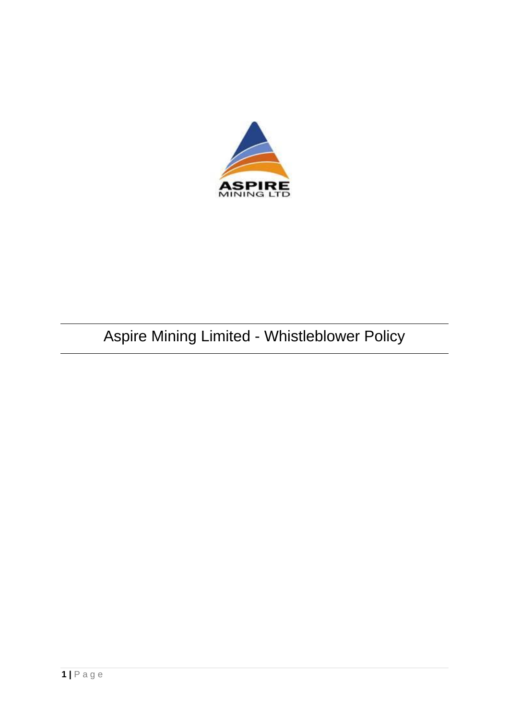

# Aspire Mining Limited - Whistleblower Policy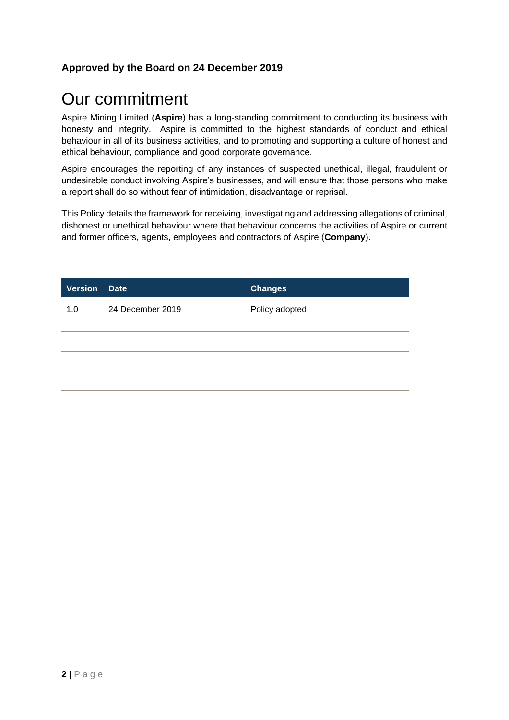#### **Approved by the Board on 24 December 2019**

## Our commitment

Aspire Mining Limited (**Aspire**) has a long-standing commitment to conducting its business with honesty and integrity. Aspire is committed to the highest standards of conduct and ethical behaviour in all of its business activities, and to promoting and supporting a culture of honest and ethical behaviour, compliance and good corporate governance.

Aspire encourages the reporting of any instances of suspected unethical, illegal, fraudulent or undesirable conduct involving Aspire's businesses, and will ensure that those persons who make a report shall do so without fear of intimidation, disadvantage or reprisal.

This Policy details the framework for receiving, investigating and addressing allegations of criminal, dishonest or unethical behaviour where that behaviour concerns the activities of Aspire or current and former officers, agents, employees and contractors of Aspire (**Company**).

| <b>Version</b> Date |                  | <b>Changes</b> |
|---------------------|------------------|----------------|
| 1.0                 | 24 December 2019 | Policy adopted |
|                     |                  |                |
|                     |                  |                |
|                     |                  |                |
|                     |                  |                |
|                     |                  |                |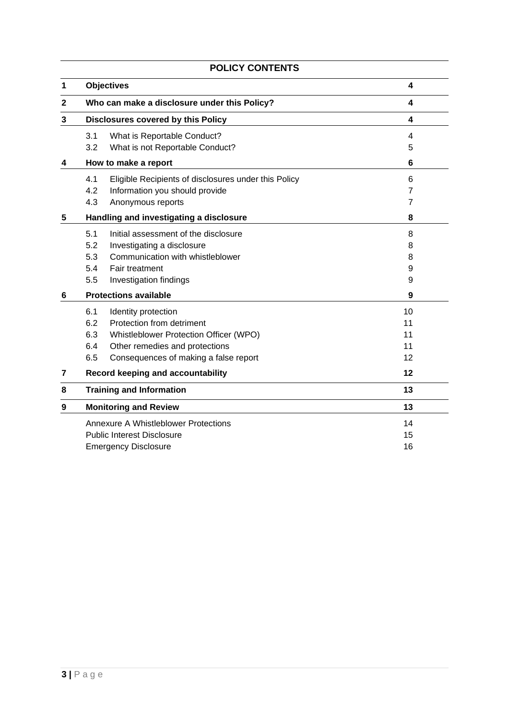| 1 | <b>Objectives</b>                                           | 4              |
|---|-------------------------------------------------------------|----------------|
| 2 | Who can make a disclosure under this Policy?                | 4              |
| 3 | Disclosures covered by this Policy                          | 4              |
|   | 3.1<br>What is Reportable Conduct?                          | 4              |
|   | 3.2<br>What is not Reportable Conduct?                      | 5              |
| 4 | How to make a report                                        | 6              |
|   | 4.1<br>Eligible Recipients of disclosures under this Policy | 6              |
|   | 4.2<br>Information you should provide                       | 7              |
|   | 4.3<br>Anonymous reports                                    | $\overline{7}$ |
| 5 | Handling and investigating a disclosure                     | 8              |
|   | 5.1<br>Initial assessment of the disclosure                 | 8              |
|   | 5.2<br>Investigating a disclosure                           | 8              |
|   | Communication with whistleblower<br>5.3                     | 8              |
|   | 5.4<br>Fair treatment                                       | 9              |
|   | 5.5<br>Investigation findings                               | 9              |
| 6 | <b>Protections available</b>                                | 9              |
|   | 6.1<br>Identity protection                                  | 10             |
|   | Protection from detriment<br>6.2                            | 11             |
|   | 6.3<br>Whistleblower Protection Officer (WPO)               | 11             |
|   | 6.4<br>Other remedies and protections                       | 11             |
|   | 6.5<br>Consequences of making a false report                | 12             |
| 7 | Record keeping and accountability                           | 12             |
| 8 | <b>Training and Information</b>                             | 13             |
| 9 | <b>Monitoring and Review</b>                                | 13             |
|   | <b>Annexure A Whistleblower Protections</b>                 | 14             |
|   | <b>Public Interest Disclosure</b>                           | 15             |
|   | <b>Emergency Disclosure</b>                                 | 16             |

## **POLICY CONTENTS**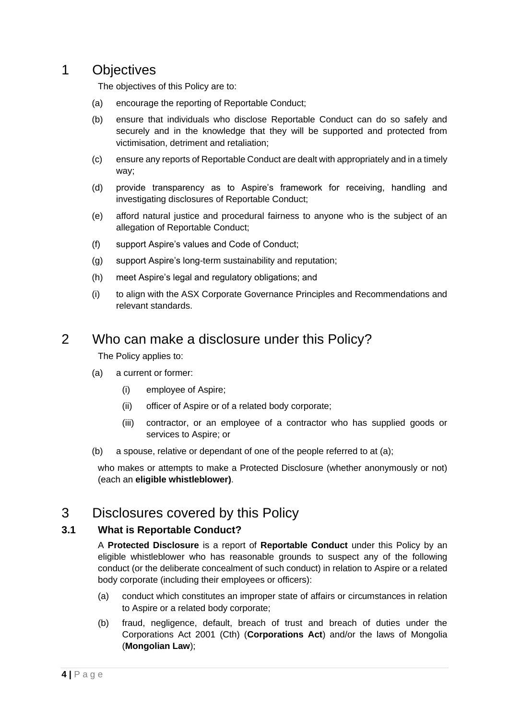## 1 Objectives

The objectives of this Policy are to:

- (a) encourage the reporting of Reportable Conduct;
- (b) ensure that individuals who disclose Reportable Conduct can do so safely and securely and in the knowledge that they will be supported and protected from victimisation, detriment and retaliation;
- (c) ensure any reports of Reportable Conduct are dealt with appropriately and in a timely way;
- (d) provide transparency as to Aspire's framework for receiving, handling and investigating disclosures of Reportable Conduct;
- (e) afford natural justice and procedural fairness to anyone who is the subject of an allegation of Reportable Conduct;
- (f) support Aspire's values and Code of Conduct;
- (g) support Aspire's long-term sustainability and reputation;
- (h) meet Aspire's legal and regulatory obligations; and
- (i) to align with the ASX Corporate Governance Principles and Recommendations and relevant standards.

## 2 Who can make a disclosure under this Policy?

The Policy applies to:

- (a) a current or former:
	- (i) employee of Aspire;
	- (ii) officer of Aspire or of a related body corporate;
	- (iii) contractor, or an employee of a contractor who has supplied goods or services to Aspire; or
- (b) a spouse, relative or dependant of one of the people referred to at (a);

who makes or attempts to make a Protected Disclosure (whether anonymously or not) (each an **eligible whistleblower)**.

## 3 Disclosures covered by this Policy

#### **3.1 What is Reportable Conduct?**

A **Protected Disclosure** is a report of **Reportable Conduct** under this Policy by an eligible whistleblower who has reasonable grounds to suspect any of the following conduct (or the deliberate concealment of such conduct) in relation to Aspire or a related body corporate (including their employees or officers):

- (a) conduct which constitutes an improper state of affairs or circumstances in relation to Aspire or a related body corporate;
- (b) fraud, negligence, default, breach of trust and breach of duties under the Corporations Act 2001 (Cth) (**Corporations Act**) and/or the laws of Mongolia (**Mongolian Law**);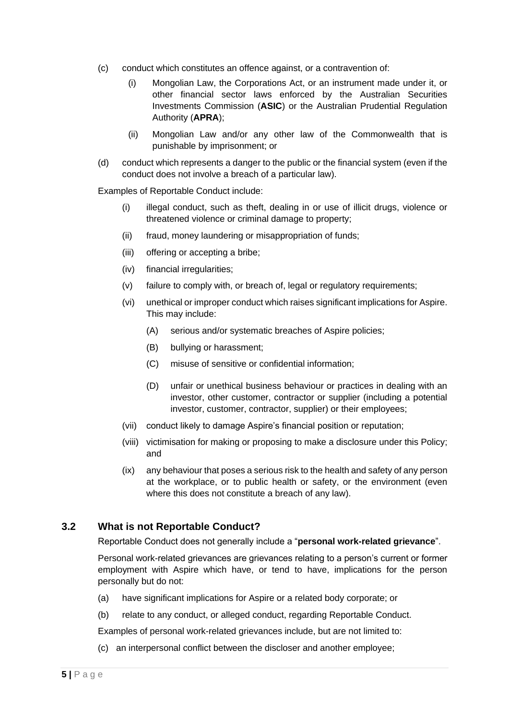- (c) conduct which constitutes an offence against, or a contravention of:
	- (i) Mongolian Law, the Corporations Act, or an instrument made under it, or other financial sector laws enforced by the Australian Securities Investments Commission (**ASIC**) or the Australian Prudential Regulation Authority (**APRA**);
	- (ii) Mongolian Law and/or any other law of the Commonwealth that is punishable by imprisonment; or
- (d) conduct which represents a danger to the public or the financial system (even if the conduct does not involve a breach of a particular law).

Examples of Reportable Conduct include:

- (i) illegal conduct, such as theft, dealing in or use of illicit drugs, violence or threatened violence or criminal damage to property;
- (ii) fraud, money laundering or misappropriation of funds;
- (iii) offering or accepting a bribe;
- (iv) financial irregularities;
- (v) failure to comply with, or breach of, legal or regulatory requirements;
- (vi) unethical or improper conduct which raises significant implications for Aspire. This may include:
	- (A) serious and/or systematic breaches of Aspire policies;
	- (B) bullying or harassment;
	- (C) misuse of sensitive or confidential information;
	- (D) unfair or unethical business behaviour or practices in dealing with an investor, other customer, contractor or supplier (including a potential investor, customer, contractor, supplier) or their employees;
- (vii) conduct likely to damage Aspire's financial position or reputation;
- (viii) victimisation for making or proposing to make a disclosure under this Policy; and
- (ix) any behaviour that poses a serious risk to the health and safety of any person at the workplace, or to public health or safety, or the environment (even where this does not constitute a breach of any law).

#### **3.2 What is not Reportable Conduct?**

Reportable Conduct does not generally include a "**personal work-related grievance**".

Personal work-related grievances are grievances relating to a person's current or former employment with Aspire which have, or tend to have, implications for the person personally but do not:

- (a) have significant implications for Aspire or a related body corporate; or
- (b) relate to any conduct, or alleged conduct, regarding Reportable Conduct.

Examples of personal work-related grievances include, but are not limited to:

(c) an interpersonal conflict between the discloser and another employee;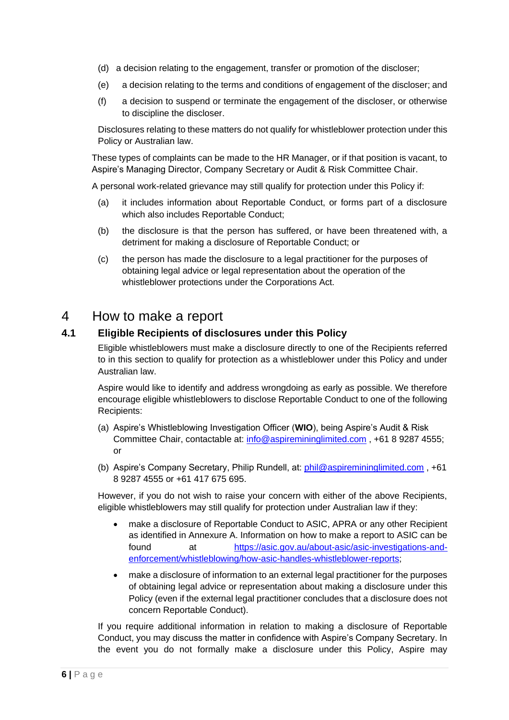- (d) a decision relating to the engagement, transfer or promotion of the discloser;
- (e) a decision relating to the terms and conditions of engagement of the discloser; and
- (f) a decision to suspend or terminate the engagement of the discloser, or otherwise to discipline the discloser.

Disclosures relating to these matters do not qualify for whistleblower protection under this Policy or Australian law.

These types of complaints can be made to the HR Manager, or if that position is vacant, to Aspire's Managing Director, Company Secretary or Audit & Risk Committee Chair.

A personal work-related grievance may still qualify for protection under this Policy if:

- (a) it includes information about Reportable Conduct, or forms part of a disclosure which also includes Reportable Conduct;
- (b) the disclosure is that the person has suffered, or have been threatened with, a detriment for making a disclosure of Reportable Conduct; or
- (c) the person has made the disclosure to a legal practitioner for the purposes of obtaining legal advice or legal representation about the operation of the whistleblower protections under the Corporations Act.

### 4 How to make a report

#### **4.1 Eligible Recipients of disclosures under this Policy**

Eligible whistleblowers must make a disclosure directly to one of the Recipients referred to in this section to qualify for protection as a whistleblower under this Policy and under Australian law.

Aspire would like to identify and address wrongdoing as early as possible. We therefore encourage eligible whistleblowers to disclose Reportable Conduct to one of the following Recipients:

- (a) Aspire's Whistleblowing Investigation Officer (**WIO**), being Aspire's Audit & Risk Committee Chair, contactable at: [info@aspiremininglimited.com](mailto:info@aspiremininglimited.com) , +61 8 9287 4555; or
- (b) Aspire's Company Secretary, Philip Rundell, at: [phil@aspiremininglimited.com](mailto:phil@aspiremininglimited.com) , +61 8 9287 4555 or +61 417 675 695.

However, if you do not wish to raise your concern with either of the above Recipients, eligible whistleblowers may still qualify for protection under Australian law if they:

- make a disclosure of Reportable Conduct to ASIC, APRA or any other Recipient as identified in Annexure A. Information on how to make a report to ASIC can be found at [https://asic.gov.au/about-asic/asic-investigations-and](https://asic.gov.au/about-asic/asic-investigations-and-enforcement/whistleblowing/how-asic-handles-whistleblower-reports/)[enforcement/whistleblowing/how-asic-handles-whistleblower-reports;](https://asic.gov.au/about-asic/asic-investigations-and-enforcement/whistleblowing/how-asic-handles-whistleblower-reports/)
- make a disclosure of information to an external legal practitioner for the purposes of obtaining legal advice or representation about making a disclosure under this Policy (even if the external legal practitioner concludes that a disclosure does not concern Reportable Conduct).

If you require additional information in relation to making a disclosure of Reportable Conduct, you may discuss the matter in confidence with Aspire's Company Secretary. In the event you do not formally make a disclosure under this Policy, Aspire may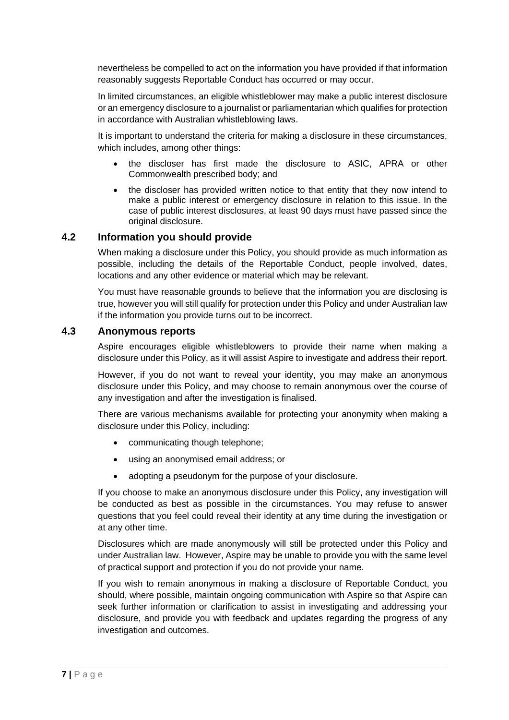nevertheless be compelled to act on the information you have provided if that information reasonably suggests Reportable Conduct has occurred or may occur.

In limited circumstances, an eligible whistleblower may make a public interest disclosure or an emergency disclosure to a journalist or parliamentarian which qualifies for protection in accordance with Australian whistleblowing laws.

It is important to understand the criteria for making a disclosure in these circumstances, which includes, among other things:

- the discloser has first made the disclosure to ASIC, APRA or other Commonwealth prescribed body; and
- the discloser has provided written notice to that entity that they now intend to make a public interest or emergency disclosure in relation to this issue. In the case of public interest disclosures, at least 90 days must have passed since the original disclosure.

#### **4.2 Information you should provide**

When making a disclosure under this Policy, you should provide as much information as possible, including the details of the Reportable Conduct, people involved, dates, locations and any other evidence or material which may be relevant.

You must have reasonable grounds to believe that the information you are disclosing is true, however you will still qualify for protection under this Policy and under Australian law if the information you provide turns out to be incorrect.

#### **4.3 Anonymous reports**

Aspire encourages eligible whistleblowers to provide their name when making a disclosure under this Policy, as it will assist Aspire to investigate and address their report.

However, if you do not want to reveal your identity, you may make an anonymous disclosure under this Policy, and may choose to remain anonymous over the course of any investigation and after the investigation is finalised.

There are various mechanisms available for protecting your anonymity when making a disclosure under this Policy, including:

- communicating though telephone;
- using an anonymised email address; or
- adopting a pseudonym for the purpose of your disclosure.

If you choose to make an anonymous disclosure under this Policy, any investigation will be conducted as best as possible in the circumstances. You may refuse to answer questions that you feel could reveal their identity at any time during the investigation or at any other time.

Disclosures which are made anonymously will still be protected under this Policy and under Australian law. However, Aspire may be unable to provide you with the same level of practical support and protection if you do not provide your name.

If you wish to remain anonymous in making a disclosure of Reportable Conduct, you should, where possible, maintain ongoing communication with Aspire so that Aspire can seek further information or clarification to assist in investigating and addressing your disclosure, and provide you with feedback and updates regarding the progress of any investigation and outcomes.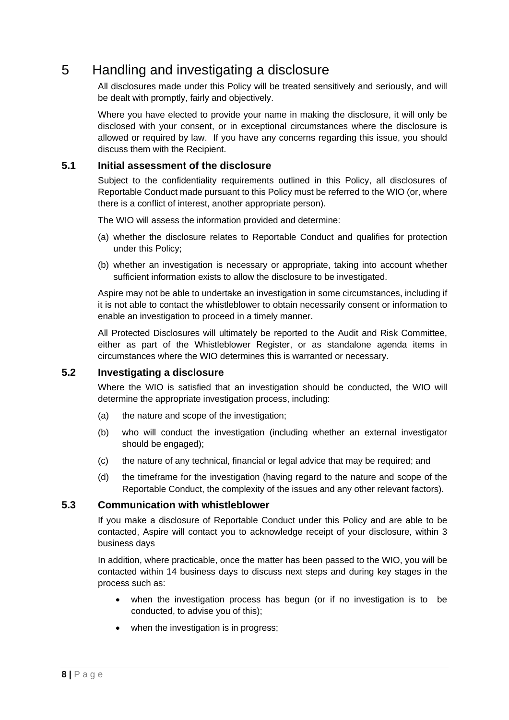## 5 Handling and investigating a disclosure

All disclosures made under this Policy will be treated sensitively and seriously, and will be dealt with promptly, fairly and objectively.

Where you have elected to provide your name in making the disclosure, it will only be disclosed with your consent, or in exceptional circumstances where the disclosure is allowed or required by law. If you have any concerns regarding this issue, you should discuss them with the Recipient.

#### **5.1 Initial assessment of the disclosure**

Subject to the confidentiality requirements outlined in this Policy, all disclosures of Reportable Conduct made pursuant to this Policy must be referred to the WIO (or, where there is a conflict of interest, another appropriate person).

The WIO will assess the information provided and determine:

- (a) whether the disclosure relates to Reportable Conduct and qualifies for protection under this Policy;
- (b) whether an investigation is necessary or appropriate, taking into account whether sufficient information exists to allow the disclosure to be investigated.

Aspire may not be able to undertake an investigation in some circumstances, including if it is not able to contact the whistleblower to obtain necessarily consent or information to enable an investigation to proceed in a timely manner.

All Protected Disclosures will ultimately be reported to the Audit and Risk Committee, either as part of the Whistleblower Register, or as standalone agenda items in circumstances where the WIO determines this is warranted or necessary.

#### **5.2 Investigating a disclosure**

Where the WIO is satisfied that an investigation should be conducted, the WIO will determine the appropriate investigation process, including:

- (a) the nature and scope of the investigation;
- (b) who will conduct the investigation (including whether an external investigator should be engaged);
- (c) the nature of any technical, financial or legal advice that may be required; and
- (d) the timeframe for the investigation (having regard to the nature and scope of the Reportable Conduct, the complexity of the issues and any other relevant factors).

#### **5.3 Communication with whistleblower**

If you make a disclosure of Reportable Conduct under this Policy and are able to be contacted, Aspire will contact you to acknowledge receipt of your disclosure, within 3 business days

In addition, where practicable, once the matter has been passed to the WIO, you will be contacted within 14 business days to discuss next steps and during key stages in the process such as:

- when the investigation process has begun (or if no investigation is to be conducted, to advise you of this);
- when the investigation is in progress;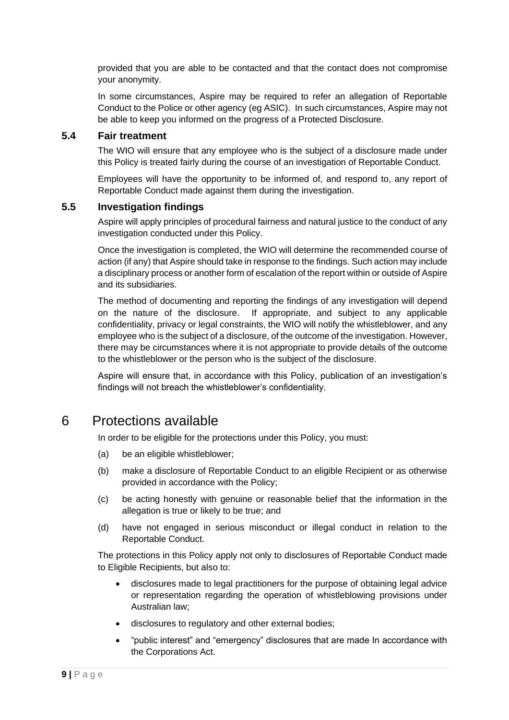provided that you are able to be contacted and that the contact does not compromise your anonymity.

In some circumstances, Aspire may be required to refer an allegation of Reportable Conduct to the Police or other agency (eg ASIC). In such circumstances, Aspire may not be able to keep you informed on the progress of a Protected Disclosure.

#### **5.4 Fair treatment**

The WIO will ensure that any employee who is the subject of a disclosure made under this Policy is treated fairly during the course of an investigation of Reportable Conduct.

Employees will have the opportunity to be informed of, and respond to, any report of Reportable Conduct made against them during the investigation.

#### **5.5 Investigation findings**

Aspire will apply principles of procedural fairness and natural justice to the conduct of any investigation conducted under this Policy.

Once the investigation is completed, the WIO will determine the recommended course of action (if any) that Aspire should take in response to the findings. Such action may include a disciplinary process or another form of escalation of the report within or outside of Aspire and its subsidiaries.

The method of documenting and reporting the findings of any investigation will depend on the nature of the disclosure. If appropriate, and subject to any applicable confidentiality, privacy or legal constraints, the WIO will notify the whistleblower, and any employee who is the subject of a disclosure, of the outcome of the investigation. However, there may be circumstances where it is not appropriate to provide details of the outcome to the whistleblower or the person who is the subject of the disclosure.

Aspire will ensure that, in accordance with this Policy, publication of an investigation's findings will not breach the whistleblower's confidentiality.

## 6 Protections available

In order to be eligible for the protections under this Policy, you must:

- (a) be an eligible whistleblower;
- (b) make a disclosure of Reportable Conduct to an eligible Recipient or as otherwise provided in accordance with the Policy;
- (c) be acting honestly with genuine or reasonable belief that the information in the allegation is true or likely to be true; and
- (d) have not engaged in serious misconduct or illegal conduct in relation to the Reportable Conduct.

The protections in this Policy apply not only to disclosures of Reportable Conduct made to Eligible Recipients, but also to:

- disclosures made to legal practitioners for the purpose of obtaining legal advice or representation regarding the operation of whistleblowing provisions under Australian law;
- disclosures to regulatory and other external bodies;
- "public interest" and "emergency" disclosures that are made In accordance with the Corporations Act.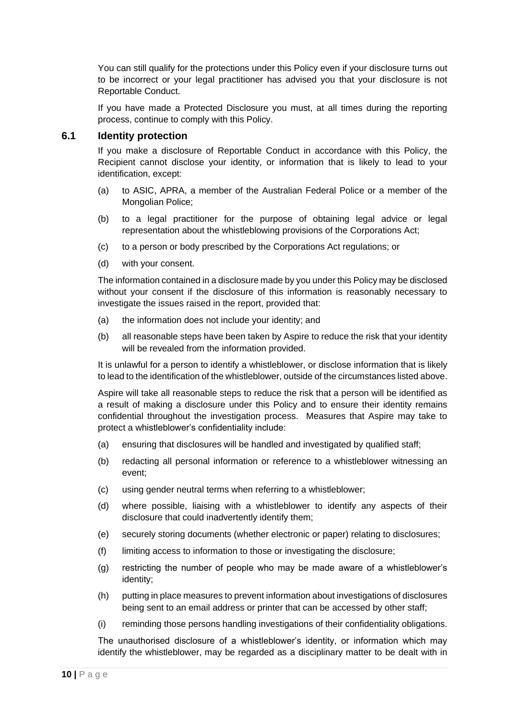You can still qualify for the protections under this Policy even if your disclosure turns out to be incorrect or your legal practitioner has advised you that your disclosure is not Reportable Conduct.

If you have made a Protected Disclosure you must, at all times during the reporting process, continue to comply with this Policy.

#### **6.1 Identity protection**

If you make a disclosure of Reportable Conduct in accordance with this Policy, the Recipient cannot disclose your identity, or information that is likely to lead to your identification, except:

- (a) to ASIC, APRA, a member of the Australian Federal Police or a member of the Mongolian Police;
- (b) to a legal practitioner for the purpose of obtaining legal advice or legal representation about the whistleblowing provisions of the Corporations Act;
- (c) to a person or body prescribed by the Corporations Act regulations; or
- (d) with your consent.

The information contained in a disclosure made by you under this Policy may be disclosed without your consent if the disclosure of this information is reasonably necessary to investigate the issues raised in the report, provided that:

- (a) the information does not include your identity; and
- (b) all reasonable steps have been taken by Aspire to reduce the risk that your identity will be revealed from the information provided.

It is unlawful for a person to identify a whistleblower, or disclose information that is likely to lead to the identification of the whistleblower, outside of the circumstances listed above.

Aspire will take all reasonable steps to reduce the risk that a person will be identified as a result of making a disclosure under this Policy and to ensure their identity remains confidential throughout the investigation process. Measures that Aspire may take to protect a whistleblower's confidentiality include:

- (a) ensuring that disclosures will be handled and investigated by qualified staff;
- (b) redacting all personal information or reference to a whistleblower witnessing an event;
- (c) using gender neutral terms when referring to a whistleblower;
- (d) where possible, liaising with a whistleblower to identify any aspects of their disclosure that could inadvertently identify them;
- (e) securely storing documents (whether electronic or paper) relating to disclosures;
- (f) limiting access to information to those or investigating the disclosure;
- (g) restricting the number of people who may be made aware of a whistleblower's identity;
- (h) putting in place measures to prevent information about investigations of disclosures being sent to an email address or printer that can be accessed by other staff;
- (i) reminding those persons handling investigations of their confidentiality obligations.

The unauthorised disclosure of a whistleblower's identity, or information which may identify the whistleblower, may be regarded as a disciplinary matter to be dealt with in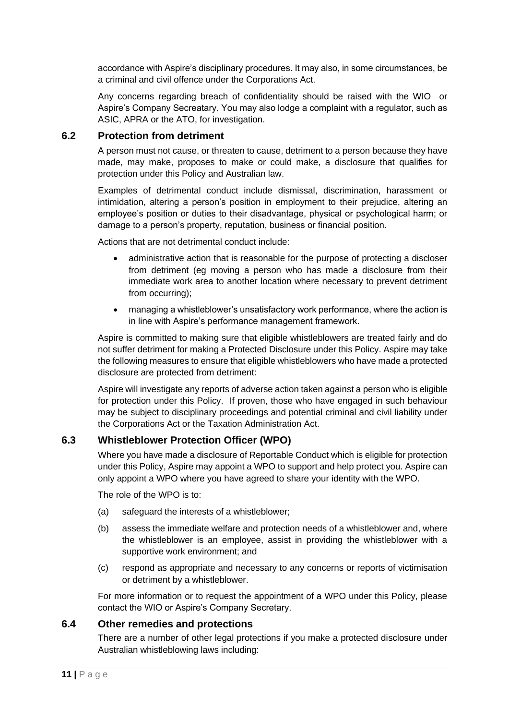accordance with Aspire's disciplinary procedures. It may also, in some circumstances, be a criminal and civil offence under the Corporations Act.

Any concerns regarding breach of confidentiality should be raised with the WIO or Aspire's Company Secreatary. You may also lodge a complaint with a regulator, such as ASIC, APRA or the ATO, for investigation.

#### **6.2 Protection from detriment**

A person must not cause, or threaten to cause, detriment to a person because they have made, may make, proposes to make or could make, a disclosure that qualifies for protection under this Policy and Australian law.

Examples of detrimental conduct include dismissal, discrimination, harassment or intimidation, altering a person's position in employment to their prejudice, altering an employee's position or duties to their disadvantage, physical or psychological harm; or damage to a person's property, reputation, business or financial position.

Actions that are not detrimental conduct include:

- administrative action that is reasonable for the purpose of protecting a discloser from detriment (eg moving a person who has made a disclosure from their immediate work area to another location where necessary to prevent detriment from occurring);
- managing a whistleblower's unsatisfactory work performance, where the action is in line with Aspire's performance management framework.

Aspire is committed to making sure that eligible whistleblowers are treated fairly and do not suffer detriment for making a Protected Disclosure under this Policy. Aspire may take the following measures to ensure that eligible whistleblowers who have made a protected disclosure are protected from detriment:

Aspire will investigate any reports of adverse action taken against a person who is eligible for protection under this Policy. If proven, those who have engaged in such behaviour may be subject to disciplinary proceedings and potential criminal and civil liability under the Corporations Act or the Taxation Administration Act.

#### **6.3 Whistleblower Protection Officer (WPO)**

Where you have made a disclosure of Reportable Conduct which is eligible for protection under this Policy, Aspire may appoint a WPO to support and help protect you. Aspire can only appoint a WPO where you have agreed to share your identity with the WPO.

The role of the WPO is to:

- (a) safeguard the interests of a whistleblower;
- (b) assess the immediate welfare and protection needs of a whistleblower and, where the whistleblower is an employee, assist in providing the whistleblower with a supportive work environment; and
- (c) respond as appropriate and necessary to any concerns or reports of victimisation or detriment by a whistleblower.

For more information or to request the appointment of a WPO under this Policy, please contact the WIO or Aspire's Company Secretary.

#### **6.4 Other remedies and protections**

There are a number of other legal protections if you make a protected disclosure under Australian whistleblowing laws including: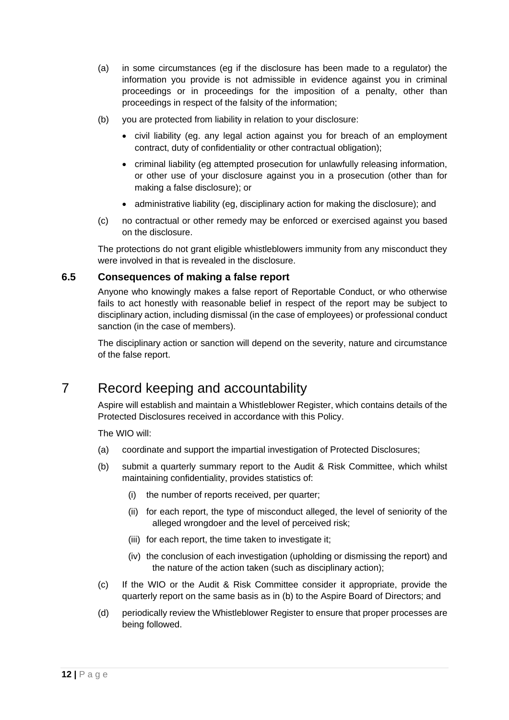- (a) in some circumstances (eg if the disclosure has been made to a regulator) the information you provide is not admissible in evidence against you in criminal proceedings or in proceedings for the imposition of a penalty, other than proceedings in respect of the falsity of the information;
- (b) you are protected from liability in relation to your disclosure:
	- civil liability (eg. any legal action against you for breach of an employment contract, duty of confidentiality or other contractual obligation);
	- criminal liability (eg attempted prosecution for unlawfully releasing information, or other use of your disclosure against you in a prosecution (other than for making a false disclosure); or
	- administrative liability (eg, disciplinary action for making the disclosure); and
- (c) no contractual or other remedy may be enforced or exercised against you based on the disclosure.

The protections do not grant eligible whistleblowers immunity from any misconduct they were involved in that is revealed in the disclosure.

#### **6.5 Consequences of making a false report**

Anyone who knowingly makes a false report of Reportable Conduct, or who otherwise fails to act honestly with reasonable belief in respect of the report may be subject to disciplinary action, including dismissal (in the case of employees) or professional conduct sanction (in the case of members).

The disciplinary action or sanction will depend on the severity, nature and circumstance of the false report.

## 7 Record keeping and accountability

Aspire will establish and maintain a Whistleblower Register, which contains details of the Protected Disclosures received in accordance with this Policy.

The WIO will:

- (a) coordinate and support the impartial investigation of Protected Disclosures;
- (b) submit a quarterly summary report to the Audit & Risk Committee, which whilst maintaining confidentiality, provides statistics of:
	- (i) the number of reports received, per quarter;
	- (ii) for each report, the type of misconduct alleged, the level of seniority of the alleged wrongdoer and the level of perceived risk;
	- (iii) for each report, the time taken to investigate it;
	- (iv) the conclusion of each investigation (upholding or dismissing the report) and the nature of the action taken (such as disciplinary action);
- (c) If the WIO or the Audit & Risk Committee consider it appropriate, provide the quarterly report on the same basis as in (b) to the Aspire Board of Directors; and
- (d) periodically review the Whistleblower Register to ensure that proper processes are being followed.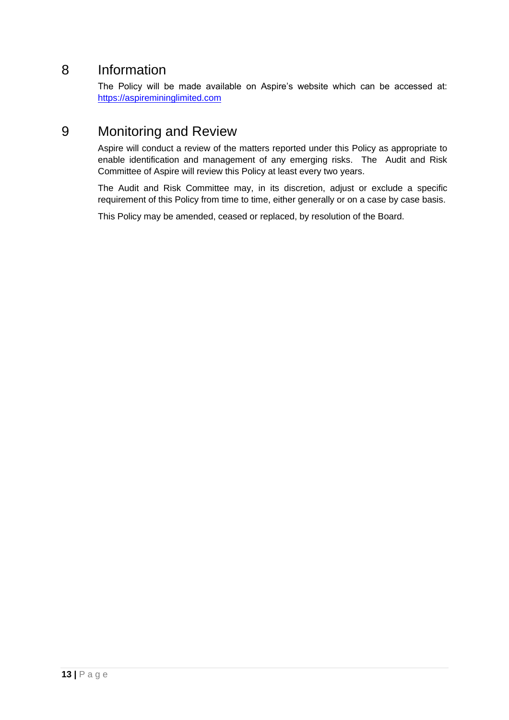## 8 Information

The Policy will be made available on Aspire's website which can be accessed at: [https://aspiremininglimited.com](https://aspiremininglimited.com/)

## 9 Monitoring and Review

Aspire will conduct a review of the matters reported under this Policy as appropriate to enable identification and management of any emerging risks. The Audit and Risk Committee of Aspire will review this Policy at least every two years.

The Audit and Risk Committee may, in its discretion, adjust or exclude a specific requirement of this Policy from time to time, either generally or on a case by case basis.

This Policy may be amended, ceased or replaced, by resolution of the Board.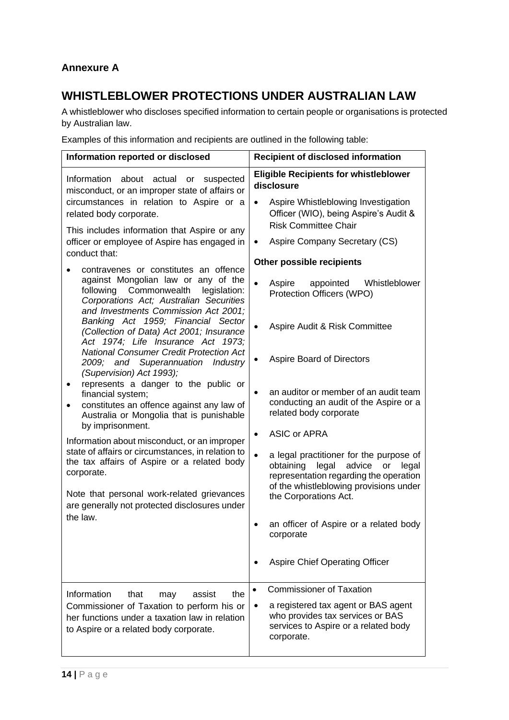## **Annexure A**

## **WHISTLEBLOWER PROTECTIONS UNDER AUSTRALIAN LAW**

A whistleblower who discloses specified information to certain people or organisations is protected by Australian law.

Examples of this information and recipients are outlined in the following table:

| Information reported or disclosed                                                                                                                                                                                                                                                                                                                                                                                                                                                                                                                                                                                                                                                                                                                                                                                                                                                                           | <b>Recipient of disclosed information</b>                                                                                                                                                                                                                                                                                                                                                                                                                                                      |  |
|-------------------------------------------------------------------------------------------------------------------------------------------------------------------------------------------------------------------------------------------------------------------------------------------------------------------------------------------------------------------------------------------------------------------------------------------------------------------------------------------------------------------------------------------------------------------------------------------------------------------------------------------------------------------------------------------------------------------------------------------------------------------------------------------------------------------------------------------------------------------------------------------------------------|------------------------------------------------------------------------------------------------------------------------------------------------------------------------------------------------------------------------------------------------------------------------------------------------------------------------------------------------------------------------------------------------------------------------------------------------------------------------------------------------|--|
| Information about<br>actual<br>suspected<br>or<br>misconduct, or an improper state of affairs or<br>circumstances in relation to Aspire or a<br>related body corporate.<br>This includes information that Aspire or any<br>officer or employee of Aspire has engaged in<br>conduct that:                                                                                                                                                                                                                                                                                                                                                                                                                                                                                                                                                                                                                    | <b>Eligible Recipients for whistleblower</b><br>disclosure<br>Aspire Whistleblowing Investigation<br>$\bullet$<br>Officer (WIO), being Aspire's Audit &<br><b>Risk Committee Chair</b><br>Aspire Company Secretary (CS)<br>$\bullet$                                                                                                                                                                                                                                                           |  |
| contravenes or constitutes an offence<br>against Mongolian law or any of the<br>following Commonwealth<br>legislation:<br>Corporations Act; Australian Securities<br>and Investments Commission Act 2001;<br>Banking Act 1959; Financial Sector<br>(Collection of Data) Act 2001; Insurance<br>Act 1974; Life Insurance Act 1973;<br><b>National Consumer Credit Protection Act</b><br>2009; and Superannuation Industry<br>(Supervision) Act 1993);<br>represents a danger to the public or<br>financial system;<br>constitutes an offence against any law of<br>Australia or Mongolia that is punishable<br>by imprisonment.<br>Information about misconduct, or an improper<br>state of affairs or circumstances, in relation to<br>the tax affairs of Aspire or a related body<br>corporate.<br>Note that personal work-related grievances<br>are generally not protected disclosures under<br>the law. | Other possible recipients<br>Whistleblower<br>Aspire<br>appointed<br>Protection Officers (WPO)<br>Aspire Audit & Risk Committee<br>$\bullet$                                                                                                                                                                                                                                                                                                                                                   |  |
|                                                                                                                                                                                                                                                                                                                                                                                                                                                                                                                                                                                                                                                                                                                                                                                                                                                                                                             | Aspire Board of Directors<br>an auditor or member of an audit team<br>$\bullet$<br>conducting an audit of the Aspire or a<br>related body corporate<br><b>ASIC or APRA</b><br>$\bullet$<br>a legal practitioner for the purpose of<br>legal<br>obtaining<br>advice<br>legal<br>or<br>representation regarding the operation<br>of the whistleblowing provisions under<br>the Corporations Act.<br>an officer of Aspire or a related body<br>corporate<br><b>Aspire Chief Operating Officer</b> |  |
| Information<br>that<br>the<br>assist<br>may<br>Commissioner of Taxation to perform his or<br>her functions under a taxation law in relation<br>to Aspire or a related body corporate.                                                                                                                                                                                                                                                                                                                                                                                                                                                                                                                                                                                                                                                                                                                       | <b>Commissioner of Taxation</b><br>a registered tax agent or BAS agent<br>٠<br>who provides tax services or BAS<br>services to Aspire or a related body<br>corporate.                                                                                                                                                                                                                                                                                                                          |  |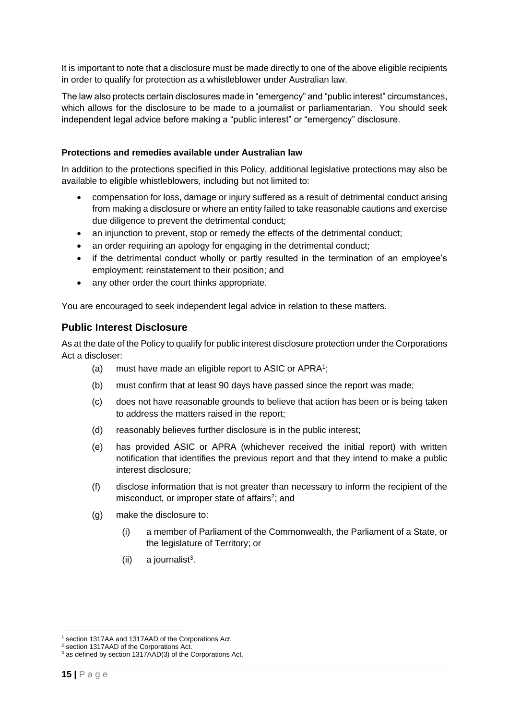It is important to note that a disclosure must be made directly to one of the above eligible recipients in order to qualify for protection as a whistleblower under Australian law.

The law also protects certain disclosures made in "emergency" and "public interest" circumstances, which allows for the disclosure to be made to a journalist or parliamentarian. You should seek independent legal advice before making a "public interest" or "emergency" disclosure.

#### **Protections and remedies available under Australian law**

In addition to the protections specified in this Policy, additional legislative protections may also be available to eligible whistleblowers, including but not limited to:

- compensation for loss, damage or injury suffered as a result of detrimental conduct arising from making a disclosure or where an entity failed to take reasonable cautions and exercise due diligence to prevent the detrimental conduct;
- an injunction to prevent, stop or remedy the effects of the detrimental conduct;
- an order requiring an apology for engaging in the detrimental conduct;
- if the detrimental conduct wholly or partly resulted in the termination of an employee's employment: reinstatement to their position; and
- any other order the court thinks appropriate.

You are encouraged to seek independent legal advice in relation to these matters.

#### **Public Interest Disclosure**

As at the date of the Policy to qualify for public interest disclosure protection under the Corporations Act a discloser:

- (a) must have made an eligible report to ASIC or APRA<sup>1</sup>;
- (b) must confirm that at least 90 days have passed since the report was made;
- (c) does not have reasonable grounds to believe that action has been or is being taken to address the matters raised in the report;
- (d) reasonably believes further disclosure is in the public interest;
- (e) has provided ASIC or APRA (whichever received the initial report) with written notification that identifies the previous report and that they intend to make a public interest disclosure;
- (f) disclose information that is not greater than necessary to inform the recipient of the misconduct, or improper state of affairs<sup>2</sup>; and
- (g) make the disclosure to:
	- (i) a member of Parliament of the Commonwealth, the Parliament of a State, or the legislature of Territory; or
	- $(ii)$  a journalist<sup>3</sup>.

<sup>1</sup> section 1317AA and 1317AAD of the Corporations Act.

<sup>2</sup> section 1317AAD of the Corporations Act.

<sup>&</sup>lt;sup>3</sup> as defined by section 1317AAD(3) of the Corporations Act.